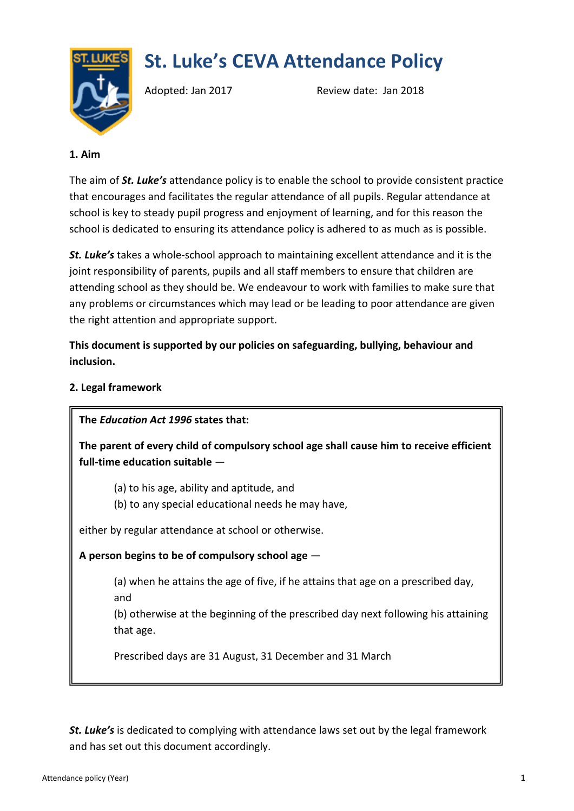# **St. Luke's CEVA Attendance Policy**



Adopted: Jan 2017 Review date: Jan 2018

#### **1. Aim**

The aim of *St. Luke's* attendance policy is to enable the school to provide consistent practice that encourages and facilitates the regular attendance of all pupils. Regular attendance at school is key to steady pupil progress and enjoyment of learning, and for this reason the school is dedicated to ensuring its attendance policy is adhered to as much as is possible.

*St. Luke's* takes a whole-school approach to maintaining excellent attendance and it is the joint responsibility of parents, pupils and all staff members to ensure that children are attending school as they should be. We endeavour to work with families to make sure that any problems or circumstances which may lead or be leading to poor attendance are given the right attention and appropriate support.

**This document is supported by our policies on safeguarding, bullying, behaviour and inclusion.**

#### **2. Legal framework**

**The** *Education Act 1996* **states that:**

**The parent of every child of compulsory school age shall cause him to receive efficient full-time education suitable** —

(a) to his age, ability and aptitude, and

(b) to any special educational needs he may have,

either by regular attendance at school or otherwise.

# **A person begins to be of compulsory school age** —

(a) when he attains the age of five, if he attains that age on a prescribed day, and

(b) otherwise at the beginning of the prescribed day next following his attaining that age.

Prescribed days are 31 August, 31 December and 31 March

*St. Luke's* is dedicated to complying with attendance laws set out by the legal framework and has set out this document accordingly.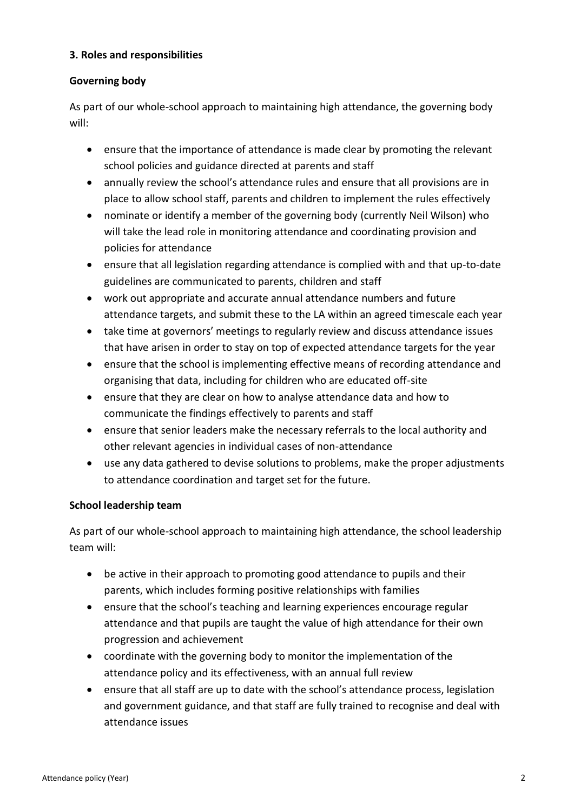#### **3. Roles and responsibilities**

#### **Governing body**

As part of our whole-school approach to maintaining high attendance, the governing body will:

- ensure that the importance of attendance is made clear by promoting the relevant school policies and guidance directed at parents and staff
- annually review the school's attendance rules and ensure that all provisions are in place to allow school staff, parents and children to implement the rules effectively
- nominate or identify a member of the governing body (currently Neil Wilson) who will take the lead role in monitoring attendance and coordinating provision and policies for attendance
- ensure that all legislation regarding attendance is complied with and that up-to-date guidelines are communicated to parents, children and staff
- work out appropriate and accurate annual attendance numbers and future attendance targets, and submit these to the LA within an agreed timescale each year
- take time at governors' meetings to regularly review and discuss attendance issues that have arisen in order to stay on top of expected attendance targets for the year
- ensure that the school is implementing effective means of recording attendance and organising that data, including for children who are educated off-site
- ensure that they are clear on how to analyse attendance data and how to communicate the findings effectively to parents and staff
- ensure that senior leaders make the necessary referrals to the local authority and other relevant agencies in individual cases of non-attendance
- use any data gathered to devise solutions to problems, make the proper adjustments to attendance coordination and target set for the future.

# **School leadership team**

As part of our whole-school approach to maintaining high attendance, the school leadership team will:

- be active in their approach to promoting good attendance to pupils and their parents, which includes forming positive relationships with families
- ensure that the school's teaching and learning experiences encourage regular attendance and that pupils are taught the value of high attendance for their own progression and achievement
- coordinate with the governing body to monitor the implementation of the attendance policy and its effectiveness, with an annual full review
- ensure that all staff are up to date with the school's attendance process, legislation and government guidance, and that staff are fully trained to recognise and deal with attendance issues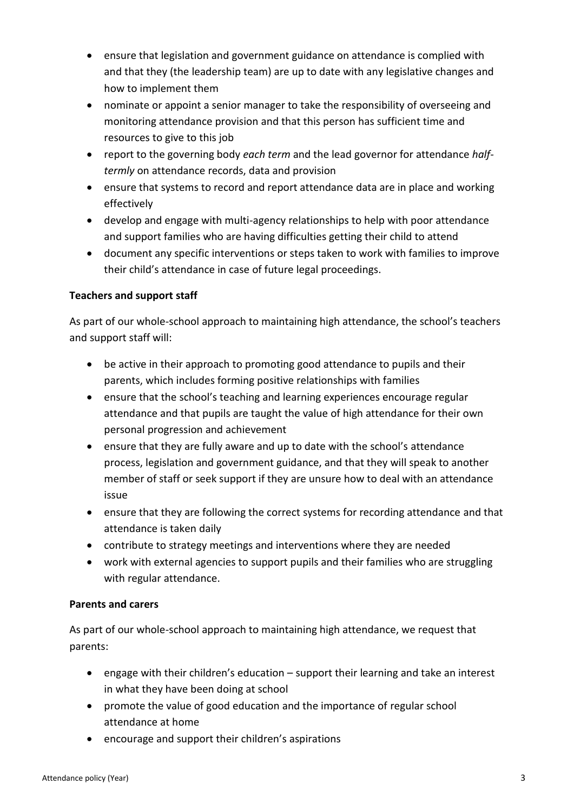- ensure that legislation and government guidance on attendance is complied with and that they (the leadership team) are up to date with any legislative changes and how to implement them
- nominate or appoint a senior manager to take the responsibility of overseeing and monitoring attendance provision and that this person has sufficient time and resources to give to this job
- report to the governing body *each term* and the lead governor for attendance *halftermly* on attendance records, data and provision
- ensure that systems to record and report attendance data are in place and working effectively
- develop and engage with multi-agency relationships to help with poor attendance and support families who are having difficulties getting their child to attend
- document any specific interventions or steps taken to work with families to improve their child's attendance in case of future legal proceedings.

#### **Teachers and support staff**

As part of our whole-school approach to maintaining high attendance, the school's teachers and support staff will:

- be active in their approach to promoting good attendance to pupils and their parents, which includes forming positive relationships with families
- ensure that the school's teaching and learning experiences encourage regular attendance and that pupils are taught the value of high attendance for their own personal progression and achievement
- ensure that they are fully aware and up to date with the school's attendance process, legislation and government guidance, and that they will speak to another member of staff or seek support if they are unsure how to deal with an attendance issue
- ensure that they are following the correct systems for recording attendance and that attendance is taken daily
- contribute to strategy meetings and interventions where they are needed
- work with external agencies to support pupils and their families who are struggling with regular attendance.

#### **Parents and carers**

As part of our whole-school approach to maintaining high attendance, we request that parents:

- engage with their children's education support their learning and take an interest in what they have been doing at school
- promote the value of good education and the importance of regular school attendance at home
- encourage and support their children's aspirations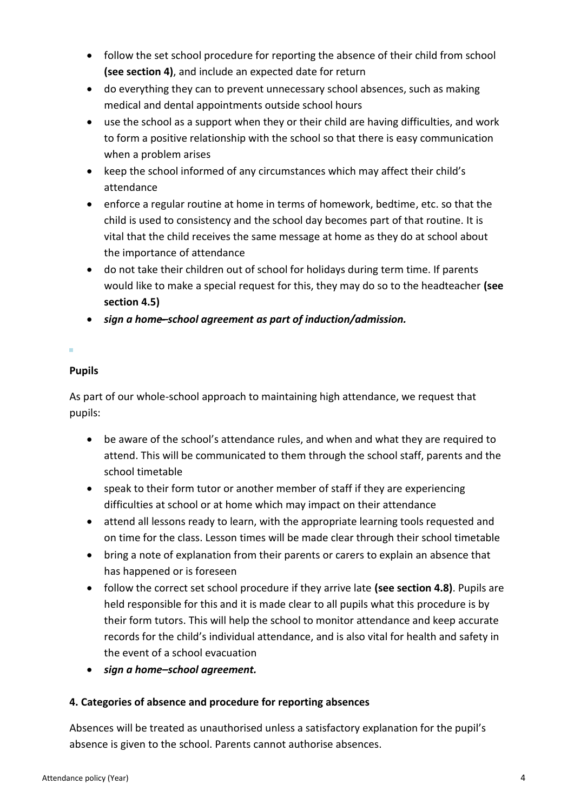- follow the set school procedure for reporting the absence of their child from school **(see section 4)**, and include an expected date for return
- do everything they can to prevent unnecessary school absences, such as making medical and dental appointments outside school hours
- use the school as a support when they or their child are having difficulties, and work to form a positive relationship with the school so that there is easy communication when a problem arises
- keep the school informed of any circumstances which may affect their child's attendance
- enforce a regular routine at home in terms of homework, bedtime, etc. so that the child is used to consistency and the school day becomes part of that routine. It is vital that the child receives the same message at home as they do at school about the importance of attendance
- do not take their children out of school for holidays during term time. If parents would like to make a special request for this, they may do so to the headteacher **(see section 4.5)**
- *sign a home̶–school agreement as part of induction/admission.*

# **Pupils**

As part of our whole-school approach to maintaining high attendance, we request that pupils:

- be aware of the school's attendance rules, and when and what they are required to attend. This will be communicated to them through the school staff, parents and the school timetable
- speak to their form tutor or another member of staff if they are experiencing difficulties at school or at home which may impact on their attendance
- attend all lessons ready to learn, with the appropriate learning tools requested and on time for the class. Lesson times will be made clear through their school timetable
- bring a note of explanation from their parents or carers to explain an absence that has happened or is foreseen
- follow the correct set school procedure if they arrive late **(see section 4.8)**. Pupils are held responsible for this and it is made clear to all pupils what this procedure is by their form tutors. This will help the school to monitor attendance and keep accurate records for the child's individual attendance, and is also vital for health and safety in the event of a school evacuation
- *sign a home–school agreement.*

# **4. Categories of absence and procedure for reporting absences**

Absences will be treated as unauthorised unless a satisfactory explanation for the pupil's absence is given to the school. Parents cannot authorise absences.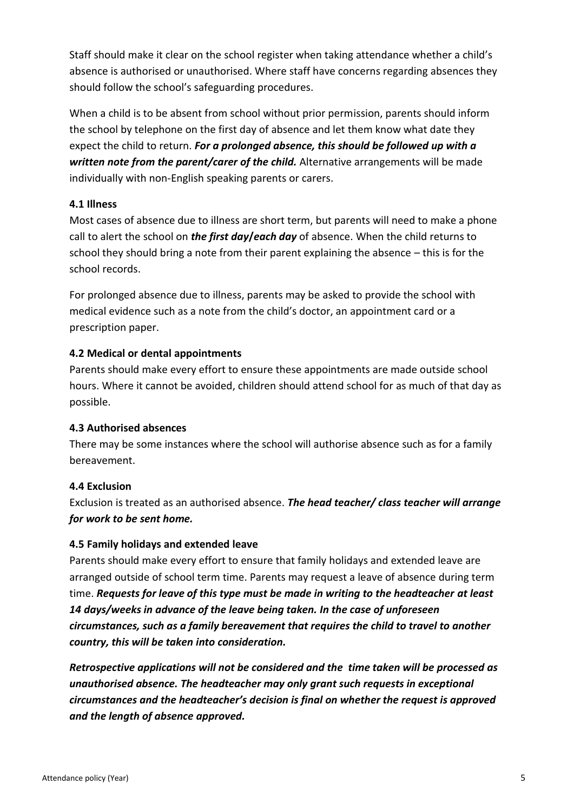Staff should make it clear on the school register when taking attendance whether a child's absence is authorised or unauthorised. Where staff have concerns regarding absences they should follow the school's safeguarding procedures.

When a child is to be absent from school without prior permission, parents should inform the school by telephone on the first day of absence and let them know what date they expect the child to return. *For a prolonged absence, this should be followed up with a written note from the parent/carer of the child.* Alternative arrangements will be made individually with non-English speaking parents or carers.

#### **4.1 Illness**

Most cases of absence due to illness are short term, but parents will need to make a phone call to alert the school on *the first day/each day* of absence. When the child returns to school they should bring a note from their parent explaining the absence – this is for the school records.

For prolonged absence due to illness, parents may be asked to provide the school with medical evidence such as a note from the child's doctor, an appointment card or a prescription paper.

#### **4.2 Medical or dental appointments**

Parents should make every effort to ensure these appointments are made outside school hours. Where it cannot be avoided, children should attend school for as much of that day as possible.

#### **4.3 Authorised absences**

There may be some instances where the school will authorise absence such as for a family bereavement.

#### **4.4 Exclusion**

Exclusion is treated as an authorised absence. *The head teacher/ class teacher will arrange for work to be sent home.*

#### **4.5 Family holidays and extended leave**

Parents should make every effort to ensure that family holidays and extended leave are arranged outside of school term time. Parents may request a leave of absence during term time. *Requests for leave of this type must be made in writing to the headteacher at least 14 days/weeks in advance of the leave being taken. In the case of unforeseen circumstances, such as a family bereavement that requires the child to travel to another country, this will be taken into consideration.*

*Retrospective applications will not be considered and the time taken will be processed as unauthorised absence. The headteacher may only grant such requests in exceptional circumstances and the headteacher's decision is final on whether the request is approved and the length of absence approved.*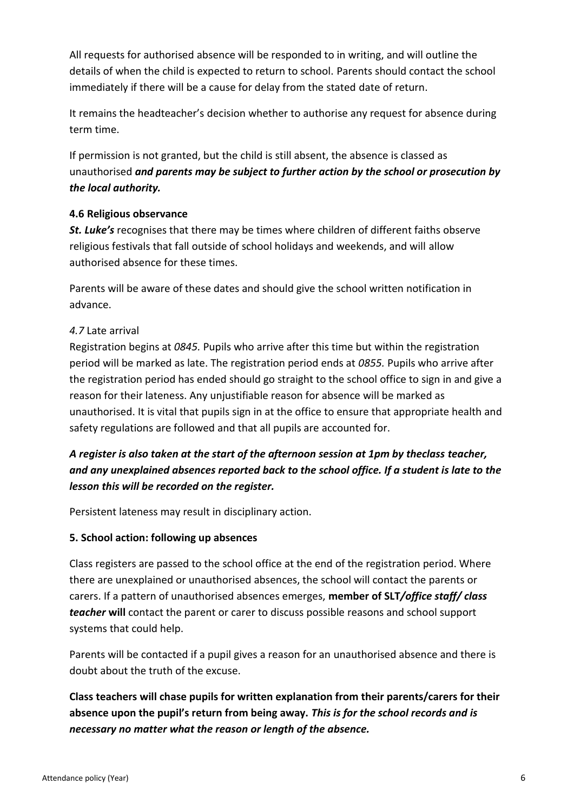All requests for authorised absence will be responded to in writing, and will outline the details of when the child is expected to return to school. Parents should contact the school immediately if there will be a cause for delay from the stated date of return.

It remains the headteacher's decision whether to authorise any request for absence during term time.

If permission is not granted, but the child is still absent, the absence is classed as unauthorised *and parents may be subject to further action by the school or prosecution by the local authority.*

#### **4.6 Religious observance**

*St. Luke's* recognises that there may be times where children of different faiths observe religious festivals that fall outside of school holidays and weekends, and will allow authorised absence for these times.

Parents will be aware of these dates and should give the school written notification in advance.

#### *4.7* Late arrival

Registration begins at *0845.* Pupils who arrive after this time but within the registration period will be marked as late. The registration period ends at *0855.* Pupils who arrive after the registration period has ended should go straight to the school office to sign in and give a reason for their lateness. Any unjustifiable reason for absence will be marked as unauthorised. It is vital that pupils sign in at the office to ensure that appropriate health and safety regulations are followed and that all pupils are accounted for.

# *A register is also taken at the start of the afternoon session at 1pm by theclass teacher, and any unexplained absences reported back to the school office. If a student is late to the lesson this will be recorded on the register.*

Persistent lateness may result in disciplinary action.

# **5. School action: following up absences**

Class registers are passed to the school office at the end of the registration period. Where there are unexplained or unauthorised absences, the school will contact the parents or carers. If a pattern of unauthorised absences emerges, **member of SLT***/office staff/ class teacher* **will** contact the parent or carer to discuss possible reasons and school support systems that could help.

Parents will be contacted if a pupil gives a reason for an unauthorised absence and there is doubt about the truth of the excuse.

**Class teachers will chase pupils for written explanation from their parents/carers for their absence upon the pupil's return from being away.** *This is for the school records and is necessary no matter what the reason or length of the absence.*